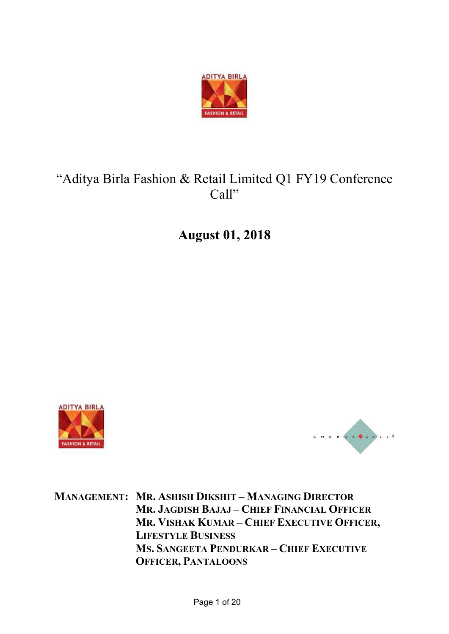

# "Aditya Birla Fashion & Retail Limited Q1 FY19 Conference Call"

August 01, 2018





MANAGEMENT: MR. ASHISH DIKSHIT – MANAGING DIRECTOR MR. JAGDISH BAJAJ – CHIEF FINANCIAL OFFICER MR. VISHAK KUMAR – CHIEF EXECUTIVE OFFICER, LIFESTYLE BUSINESS MS. SANGEETA PENDURKAR – CHIEF EXECUTIVE OFFICER, PANTALOONS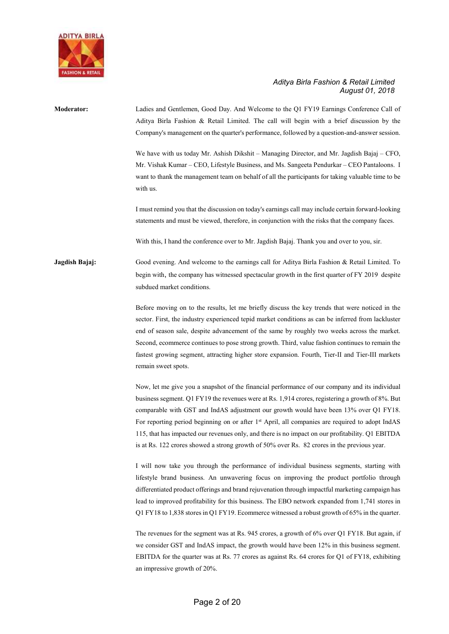

## Moderator: Ladies and Gentlemen, Good Day. And Welcome to the Q1 FY19 Earnings Conference Call of Aditya Birla Fashion & Retail Limited. The call will begin with a brief discussion by the Company's management on the quarter's performance, followed by a question-and-answer session. We have with us today Mr. Ashish Dikshit – Managing Director, and Mr. Jagdish Bajaj – CFO, Mr. Vishak Kumar – CEO, Lifestyle Business, and Ms. Sangeeta Pendurkar – CEO Pantaloons. I want to thank the management team on behalf of all the participants for taking valuable time to be with us. I must remind you that the discussion on today's earnings call may include certain forward-looking statements and must be viewed, therefore, in conjunction with the risks that the company faces. With this, I hand the conference over to Mr. Jagdish Bajaj. Thank you and over to you, sir. Jagdish Bajaj: Good evening. And welcome to the earnings call for Aditya Birla Fashion & Retail Limited. To begin with, the company has witnessed spectacular growth in the first quarter of FY 2019 despite subdued market conditions. Before moving on to the results, let me briefly discuss the key trends that were noticed in the sector. First, the industry experienced tepid market conditions as can be inferred from lackluster end of season sale, despite advancement of the same by roughly two weeks across the market. Second, ecommerce continues to pose strong growth. Third, value fashion continues to remain the fastest growing segment, attracting higher store expansion. Fourth, Tier-II and Tier-III markets remain sweet spots. Now, let me give you a snapshot of the financial performance of our company and its individual business segment. Q1 FY19 the revenues were at Rs. 1,914 crores, registering a growth of 8%. But comparable with GST and IndAS adjustment our growth would have been 13% over Q1 FY18. For reporting period beginning on or after 1st April, all companies are required to adopt IndAS 115, that has impacted our revenues only, and there is no impact on our profitability. Q1 EBITDA is at Rs. 122 crores showed a strong growth of 50% over Rs. 82 crores in the previous year. I will now take you through the performance of individual business segments, starting with lifestyle brand business. An unwavering focus on improving the product portfolio through differentiated product offerings and brand rejuvenation through impactful marketing campaign has lead to improved profitability for this business. The EBO network expanded from 1,741 stores in Q1 FY18 to 1,838 stores in Q1 FY19. Ecommerce witnessed a robust growth of 65% in the quarter. The revenues for the segment was at Rs. 945 crores, a growth of 6% over Q1 FY18. But again, if we consider GST and IndAS impact, the growth would have been 12% in this business segment. EBITDA for the quarter was at Rs. 77 crores as against Rs. 64 crores for Q1 of FY18, exhibiting

an impressive growth of 20%.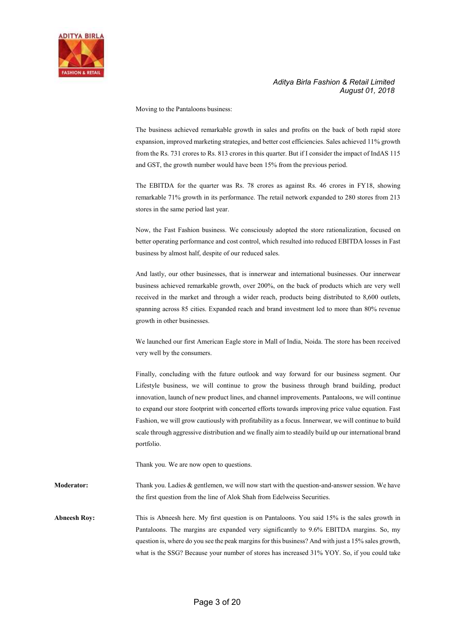

Moving to the Pantaloons business:

The business achieved remarkable growth in sales and profits on the back of both rapid store expansion, improved marketing strategies, and better cost efficiencies. Sales achieved 11% growth from the Rs. 731 crores to Rs. 813 crores in this quarter. But if I consider the impact of IndAS 115 and GST, the growth number would have been 15% from the previous period.

 The EBITDA for the quarter was Rs. 78 crores as against Rs. 46 crores in FY18, showing remarkable 71% growth in its performance. The retail network expanded to 280 stores from 213 stores in the same period last year.

 Now, the Fast Fashion business. We consciously adopted the store rationalization, focused on better operating performance and cost control, which resulted into reduced EBITDA losses in Fast business by almost half, despite of our reduced sales.

 And lastly, our other businesses, that is innerwear and international businesses. Our innerwear business achieved remarkable growth, over 200%, on the back of products which are very well received in the market and through a wider reach, products being distributed to 8,600 outlets, spanning across 85 cities. Expanded reach and brand investment led to more than 80% revenue growth in other businesses.

 We launched our first American Eagle store in Mall of India, Noida. The store has been received very well by the consumers.

 Finally, concluding with the future outlook and way forward for our business segment. Our Lifestyle business, we will continue to grow the business through brand building, product innovation, launch of new product lines, and channel improvements. Pantaloons, we will continue to expand our store footprint with concerted efforts towards improving price value equation. Fast Fashion, we will grow cautiously with profitability as a focus. Innerwear, we will continue to build scale through aggressive distribution and we finally aim to steadily build up our international brand portfolio.

Thank you. We are now open to questions.

Moderator: Thank you. Ladies & gentlemen, we will now start with the question-and-answer session. We have the first question from the line of Alok Shah from Edelweiss Securities.

Abneesh Roy: This is Abneesh here. My first question is on Pantaloons. You said 15% is the sales growth in Pantaloons. The margins are expanded very significantly to 9.6% EBITDA margins. So, my question is, where do you see the peak margins for this business? And with just a 15% sales growth, what is the SSG? Because your number of stores has increased 31% YOY. So, if you could take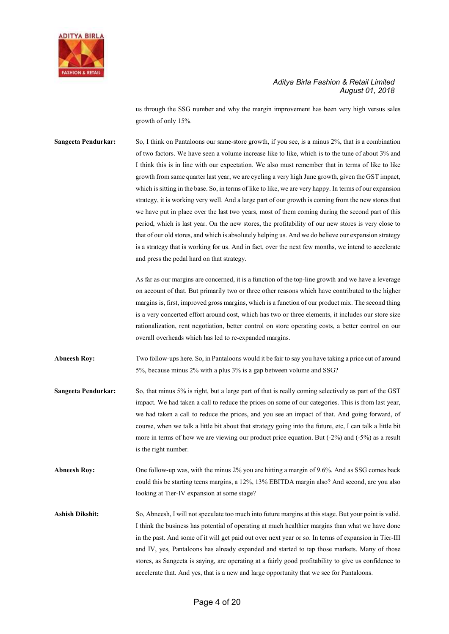

us through the SSG number and why the margin improvement has been very high versus sales growth of only 15%.

Sangeeta Pendurkar: So, I think on Pantaloons our same-store growth, if you see, is a minus 2%, that is a combination of two factors. We have seen a volume increase like to like, which is to the tune of about 3% and I think this is in line with our expectation. We also must remember that in terms of like to like growth from same quarter last year, we are cycling a very high June growth, given the GST impact, which is sitting in the base. So, in terms of like to like, we are very happy. In terms of our expansion strategy, it is working very well. And a large part of our growth is coming from the new stores that we have put in place over the last two years, most of them coming during the second part of this period, which is last year. On the new stores, the profitability of our new stores is very close to that of our old stores, and which is absolutely helping us. And we do believe our expansion strategy is a strategy that is working for us. And in fact, over the next few months, we intend to accelerate and press the pedal hard on that strategy.

> As far as our margins are concerned, it is a function of the top-line growth and we have a leverage on account of that. But primarily two or three other reasons which have contributed to the higher margins is, first, improved gross margins, which is a function of our product mix. The second thing is a very concerted effort around cost, which has two or three elements, it includes our store size rationalization, rent negotiation, better control on store operating costs, a better control on our overall overheads which has led to re-expanded margins.

Abneesh Roy: Two follow-ups here. So, in Pantaloons would it be fair to say you have taking a price cut of around 5%, because minus 2% with a plus 3% is a gap between volume and SSG?

- Sangeeta Pendurkar: So, that minus 5% is right, but a large part of that is really coming selectively as part of the GST impact. We had taken a call to reduce the prices on some of our categories. This is from last year, we had taken a call to reduce the prices, and you see an impact of that. And going forward, of course, when we talk a little bit about that strategy going into the future, etc, I can talk a little bit more in terms of how we are viewing our product price equation. But (-2%) and (-5%) as a result is the right number.
- Abneesh Roy: One follow-up was, with the minus 2% you are hitting a margin of 9.6%. And as SSG comes back could this be starting teens margins, a 12%, 13% EBITDA margin also? And second, are you also looking at Tier-IV expansion at some stage?
- Ashish Dikshit: So, Abneesh, I will not speculate too much into future margins at this stage. But your point is valid. I think the business has potential of operating at much healthier margins than what we have done in the past. And some of it will get paid out over next year or so. In terms of expansion in Tier-III and IV, yes, Pantaloons has already expanded and started to tap those markets. Many of those stores, as Sangeeta is saying, are operating at a fairly good profitability to give us confidence to accelerate that. And yes, that is a new and large opportunity that we see for Pantaloons.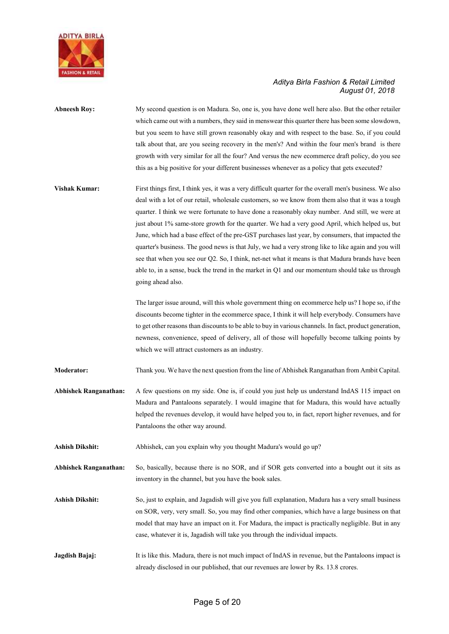

- Abneesh Roy: My second question is on Madura. So, one is, you have done well here also. But the other retailer which came out with a numbers, they said in menswear this quarter there has been some slowdown, but you seem to have still grown reasonably okay and with respect to the base. So, if you could talk about that, are you seeing recovery in the men's? And within the four men's brand is there growth with very similar for all the four? And versus the new ecommerce draft policy, do you see this as a big positive for your different businesses whenever as a policy that gets executed?
- Vishak Kumar: First things first, I think yes, it was a very difficult quarter for the overall men's business. We also deal with a lot of our retail, wholesale customers, so we know from them also that it was a tough quarter. I think we were fortunate to have done a reasonably okay number. And still, we were at just about 1% same-store growth for the quarter. We had a very good April, which helped us, but June, which had a base effect of the pre-GST purchases last year, by consumers, that impacted the quarter's business. The good news is that July, we had a very strong like to like again and you will see that when you see our Q2. So, I think, net-net what it means is that Madura brands have been able to, in a sense, buck the trend in the market in Q1 and our momentum should take us through going ahead also.

 The larger issue around, will this whole government thing on ecommerce help us? I hope so, if the discounts become tighter in the ecommerce space, I think it will help everybody. Consumers have to get other reasons than discounts to be able to buy in various channels. In fact, product generation, newness, convenience, speed of delivery, all of those will hopefully become talking points by which we will attract customers as an industry.

Moderator: Thank you. We have the next question from the line of Abhishek Ranganathan from Ambit Capital.

Abhishek Ranganathan: A few questions on my side. One is, if could you just help us understand IndAS 115 impact on Madura and Pantaloons separately. I would imagine that for Madura, this would have actually helped the revenues develop, it would have helped you to, in fact, report higher revenues, and for Pantaloons the other way around.

Ashish Dikshit: Abhishek, can you explain why you thought Madura's would go up?

Abhishek Ranganathan: So, basically, because there is no SOR, and if SOR gets converted into a bought out it sits as inventory in the channel, but you have the book sales.

- Ashish Dikshit: So, just to explain, and Jagadish will give you full explanation, Madura has a very small business on SOR, very, very small. So, you may find other companies, which have a large business on that model that may have an impact on it. For Madura, the impact is practically negligible. But in any case, whatever it is, Jagadish will take you through the individual impacts.
- Jagdish Bajaj: It is like this. Madura, there is not much impact of IndAS in revenue, but the Pantaloons impact is already disclosed in our published, that our revenues are lower by Rs. 13.8 crores.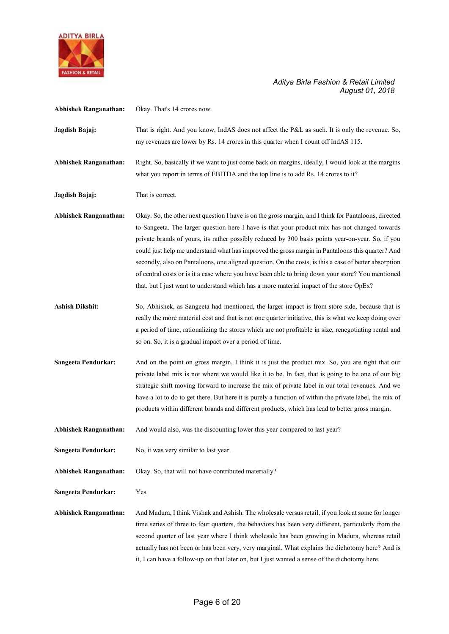

| <b>Abhishek Ranganathan:</b> | Okay. That's 14 crores now.                                                                                                                                                                                                                                                                                                                                                                                                                                                                                                                                                                                                                                                                                              |
|------------------------------|--------------------------------------------------------------------------------------------------------------------------------------------------------------------------------------------------------------------------------------------------------------------------------------------------------------------------------------------------------------------------------------------------------------------------------------------------------------------------------------------------------------------------------------------------------------------------------------------------------------------------------------------------------------------------------------------------------------------------|
| Jagdish Bajaj:               | That is right. And you know, IndAS does not affect the P&L as such. It is only the revenue. So,<br>my revenues are lower by Rs. 14 crores in this quarter when I count off IndAS 115.                                                                                                                                                                                                                                                                                                                                                                                                                                                                                                                                    |
| <b>Abhishek Ranganathan:</b> | Right. So, basically if we want to just come back on margins, ideally, I would look at the margins<br>what you report in terms of EBITDA and the top line is to add Rs. 14 crores to it?                                                                                                                                                                                                                                                                                                                                                                                                                                                                                                                                 |
| Jagdish Bajaj:               | That is correct.                                                                                                                                                                                                                                                                                                                                                                                                                                                                                                                                                                                                                                                                                                         |
| <b>Abhishek Ranganathan:</b> | Okay. So, the other next question I have is on the gross margin, and I think for Pantaloons, directed<br>to Sangeeta. The larger question here I have is that your product mix has not changed towards<br>private brands of yours, its rather possibly reduced by 300 basis points year-on-year. So, if you<br>could just help me understand what has improved the gross margin in Pantaloons this quarter? And<br>secondly, also on Pantaloons, one aligned question. On the costs, is this a case of better absorption<br>of central costs or is it a case where you have been able to bring down your store? You mentioned<br>that, but I just want to understand which has a more material impact of the store OpEx? |
| <b>Ashish Dikshit:</b>       | So, Abhishek, as Sangeeta had mentioned, the larger impact is from store side, because that is<br>really the more material cost and that is not one quarter initiative, this is what we keep doing over<br>a period of time, rationalizing the stores which are not profitable in size, renegotiating rental and<br>so on. So, it is a gradual impact over a period of time.                                                                                                                                                                                                                                                                                                                                             |
| Sangeeta Pendurkar:          | And on the point on gross margin, I think it is just the product mix. So, you are right that our<br>private label mix is not where we would like it to be. In fact, that is going to be one of our big<br>strategic shift moving forward to increase the mix of private label in our total revenues. And we<br>have a lot to do to get there. But here it is purely a function of within the private label, the mix of<br>products within different brands and different products, which has lead to better gross margin.                                                                                                                                                                                                |
| <b>Abhishek Ranganathan:</b> | And would also, was the discounting lower this year compared to last year?                                                                                                                                                                                                                                                                                                                                                                                                                                                                                                                                                                                                                                               |
| <b>Sangeeta Pendurkar:</b>   | No, it was very similar to last year.                                                                                                                                                                                                                                                                                                                                                                                                                                                                                                                                                                                                                                                                                    |
| <b>Abhishek Ranganathan:</b> | Okay. So, that will not have contributed materially?                                                                                                                                                                                                                                                                                                                                                                                                                                                                                                                                                                                                                                                                     |
| Sangeeta Pendurkar:          | Yes.                                                                                                                                                                                                                                                                                                                                                                                                                                                                                                                                                                                                                                                                                                                     |
| <b>Abhishek Ranganathan:</b> | And Madura, I think Vishak and Ashish. The wholesale versus retail, if you look at some for longer<br>time series of three to four quarters, the behaviors has been very different, particularly from the<br>second quarter of last year where I think wholesale has been growing in Madura, whereas retail<br>actually has not been or has been very, very marginal. What explains the dichotomy here? And is<br>it, I can have a follow-up on that later on, but I just wanted a sense of the dichotomy here.                                                                                                                                                                                                          |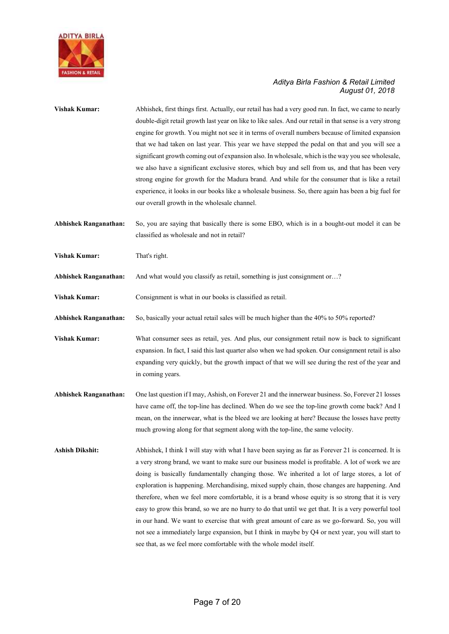

| <b>Vishak Kumar:</b>         | Abhishek, first things first. Actually, our retail has had a very good run. In fact, we came to nearly<br>double-digit retail growth last year on like to like sales. And our retail in that sense is a very strong<br>engine for growth. You might not see it in terms of overall numbers because of limited expansion<br>that we had taken on last year. This year we have stepped the pedal on that and you will see a<br>significant growth coming out of expansion also. In wholesale, which is the way you see wholesale,<br>we also have a significant exclusive stores, which buy and sell from us, and that has been very<br>strong engine for growth for the Madura brand. And while for the consumer that is like a retail<br>experience, it looks in our books like a wholesale business. So, there again has been a big fuel for<br>our overall growth in the wholesale channel.       |
|------------------------------|-----------------------------------------------------------------------------------------------------------------------------------------------------------------------------------------------------------------------------------------------------------------------------------------------------------------------------------------------------------------------------------------------------------------------------------------------------------------------------------------------------------------------------------------------------------------------------------------------------------------------------------------------------------------------------------------------------------------------------------------------------------------------------------------------------------------------------------------------------------------------------------------------------|
| <b>Abhishek Ranganathan:</b> | So, you are saying that basically there is some EBO, which is in a bought-out model it can be<br>classified as wholesale and not in retail?                                                                                                                                                                                                                                                                                                                                                                                                                                                                                                                                                                                                                                                                                                                                                         |
| <b>Vishak Kumar:</b>         | That's right.                                                                                                                                                                                                                                                                                                                                                                                                                                                                                                                                                                                                                                                                                                                                                                                                                                                                                       |
| <b>Abhishek Ranganathan:</b> | And what would you classify as retail, something is just consignment or?                                                                                                                                                                                                                                                                                                                                                                                                                                                                                                                                                                                                                                                                                                                                                                                                                            |
| <b>Vishak Kumar:</b>         | Consignment is what in our books is classified as retail.                                                                                                                                                                                                                                                                                                                                                                                                                                                                                                                                                                                                                                                                                                                                                                                                                                           |
| <b>Abhishek Ranganathan:</b> | So, basically your actual retail sales will be much higher than the 40% to 50% reported?                                                                                                                                                                                                                                                                                                                                                                                                                                                                                                                                                                                                                                                                                                                                                                                                            |
| <b>Vishak Kumar:</b>         | What consumer sees as retail, yes. And plus, our consignment retail now is back to significant<br>expansion. In fact, I said this last quarter also when we had spoken. Our consignment retail is also<br>expanding very quickly, but the growth impact of that we will see during the rest of the year and<br>in coming years.                                                                                                                                                                                                                                                                                                                                                                                                                                                                                                                                                                     |
| <b>Abhishek Ranganathan:</b> | One last question if I may, Ashish, on Forever 21 and the innerwear business. So, Forever 21 losses<br>have came off, the top-line has declined. When do we see the top-line growth come back? And I<br>mean, on the innerwear, what is the bleed we are looking at here? Because the losses have pretty<br>much growing along for that segment along with the top-line, the same velocity.                                                                                                                                                                                                                                                                                                                                                                                                                                                                                                         |
| <b>Ashish Dikshit:</b>       | Abhishek, I think I will stay with what I have been saying as far as Forever 21 is concerned. It is<br>a very strong brand, we want to make sure our business model is profitable. A lot of work we are<br>doing is basically fundamentally changing those. We inherited a lot of large stores, a lot of<br>exploration is happening. Merchandising, mixed supply chain, those changes are happening. And<br>therefore, when we feel more comfortable, it is a brand whose equity is so strong that it is very<br>easy to grow this brand, so we are no hurry to do that until we get that. It is a very powerful tool<br>in our hand. We want to exercise that with great amount of care as we go-forward. So, you will<br>not see a immediately large expansion, but I think in maybe by Q4 or next year, you will start to<br>see that, as we feel more comfortable with the whole model itself. |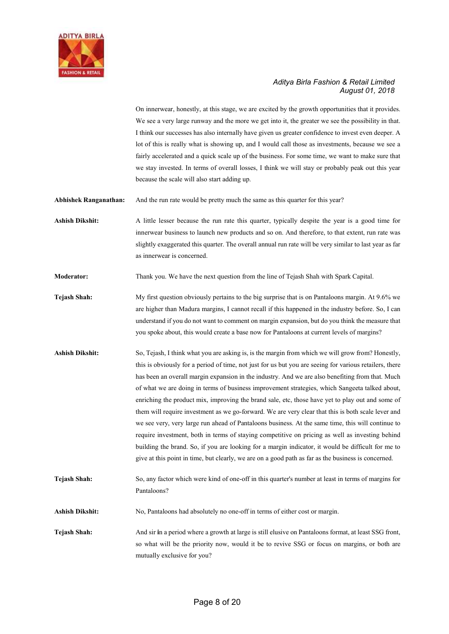

On innerwear, honestly, at this stage, we are excited by the growth opportunities that it provides. We see a very large runway and the more we get into it, the greater we see the possibility in that. I think our successes has also internally have given us greater confidence to invest even deeper. A lot of this is really what is showing up, and I would call those as investments, because we see a fairly accelerated and a quick scale up of the business. For some time, we want to make sure that we stay invested. In terms of overall losses, I think we will stay or probably peak out this year because the scale will also start adding up.

Abhishek Ranganathan: And the run rate would be pretty much the same as this quarter for this year?

Ashish Dikshit: A little lesser because the run rate this quarter, typically despite the year is a good time for innerwear business to launch new products and so on. And therefore, to that extent, run rate was slightly exaggerated this quarter. The overall annual run rate will be very similar to last year as far as innerwear is concerned.

Moderator: Thank you. We have the next question from the line of Tejash Shah with Spark Capital.

- Tejash Shah: My first question obviously pertains to the big surprise that is on Pantaloons margin. At 9.6% we are higher than Madura margins, I cannot recall if this happened in the industry before. So, I can understand if you do not want to comment on margin expansion, but do you think the measure that you spoke about, this would create a base now for Pantaloons at current levels of margins?
- Ashish Dikshit: So, Tejash, I think what you are asking is, is the margin from which we will grow from? Honestly, this is obviously for a period of time, not just for us but you are seeing for various retailers, there has been an overall margin expansion in the industry. And we are also benefiting from that. Much of what we are doing in terms of business improvement strategies, which Sangeeta talked about, enriching the product mix, improving the brand sale, etc, those have yet to play out and some of them will require investment as we go-forward. We are very clear that this is both scale lever and we see very, very large run ahead of Pantaloons business. At the same time, this will continue to require investment, both in terms of staying competitive on pricing as well as investing behind building the brand. So, if you are looking for a margin indicator, it would be difficult for me to give at this point in time, but clearly, we are on a good path as far as the business is concerned.
- Tejash Shah: So, any factor which were kind of one-off in this quarter's number at least in terms of margins for Pantaloons?
- Ashish Dikshit: No, Pantaloons had absolutely no one-off in terms of either cost or margin.
- Tejash Shah: And sir in a period where a growth at large is still elusive on Pantaloons format, at least SSG front, so what will be the priority now, would it be to revive SSG or focus on margins, or both are mutually exclusive for you?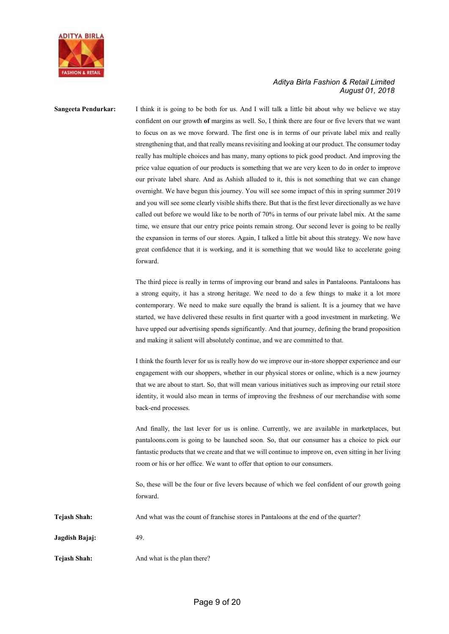

Sangeeta Pendurkar: I think it is going to be both for us. And I will talk a little bit about why we believe we stay confident on our growth of margins as well. So, I think there are four or five levers that we want to focus on as we move forward. The first one is in terms of our private label mix and really strengthening that, and that really means revisiting and looking at our product. The consumer today really has multiple choices and has many, many options to pick good product. And improving the price value equation of our products is something that we are very keen to do in order to improve our private label share. And as Ashish alluded to it, this is not something that we can change overnight. We have begun this journey. You will see some impact of this in spring summer 2019 and you will see some clearly visible shifts there. But that is the first lever directionally as we have called out before we would like to be north of 70% in terms of our private label mix. At the same time, we ensure that our entry price points remain strong. Our second lever is going to be really the expansion in terms of our stores. Again, I talked a little bit about this strategy. We now have great confidence that it is working, and it is something that we would like to accelerate going forward.

> The third piece is really in terms of improving our brand and sales in Pantaloons. Pantaloons has a strong equity, it has a strong heritage. We need to do a few things to make it a lot more contemporary. We need to make sure equally the brand is salient. It is a journey that we have started, we have delivered these results in first quarter with a good investment in marketing. We have upped our advertising spends significantly. And that journey, defining the brand proposition and making it salient will absolutely continue, and we are committed to that.

> I think the fourth lever for us is really how do we improve our in-store shopper experience and our engagement with our shoppers, whether in our physical stores or online, which is a new journey that we are about to start. So, that will mean various initiatives such as improving our retail store identity, it would also mean in terms of improving the freshness of our merchandise with some back-end processes.

> And finally, the last lever for us is online. Currently, we are available in marketplaces, but pantaloons.com is going to be launched soon. So, that our consumer has a choice to pick our fantastic products that we create and that we will continue to improve on, even sitting in her living room or his or her office. We want to offer that option to our consumers.

> So, these will be the four or five levers because of which we feel confident of our growth going forward.

Tejash Shah: And what was the count of franchise stores in Pantaloons at the end of the quarter?

Jagdish Bajaj: 49.

Tejash Shah: And what is the plan there?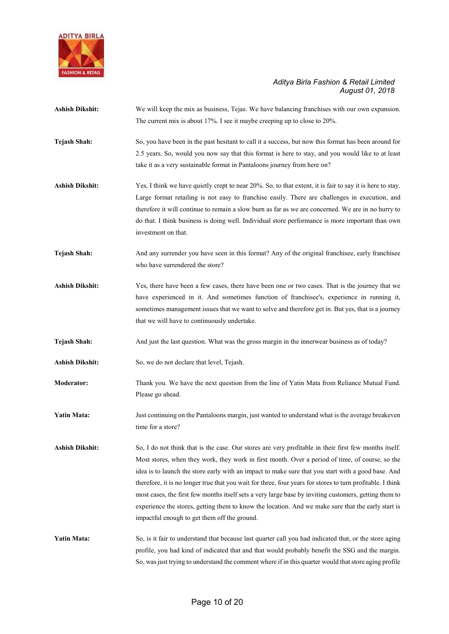

- Ashish Dikshit: We will keep the mix as business, Tejas. We have balancing franchises with our own expansion. The current mix is about 17%. I see it maybe creeping up to close to 20%.
- Tejash Shah: So, you have been in the past hesitant to call it a success, but now this format has been around for 2.5 years. So, would you now say that this format is here to stay, and you would like to at least take it as a very sustainable format in Pantaloons journey from here on?
- Ashish Dikshit: Yes, I think we have quietly crept to near 20%. So, to that extent, it is fair to say it is here to stay. Large format retailing is not easy to franchise easily. There are challenges in execution, and therefore it will continue to remain a slow burn as far as we are concerned. We are in no hurry to do that. I think business is doing well. Individual store performance is more important than own investment on that.
- Tejash Shah: And any surrender you have seen in this format? Any of the original franchisee, early franchisee who have surrendered the store?
- Ashish Dikshit: Yes, there have been a few cases, there have been one or two cases. That is the journey that we have experienced in it. And sometimes function of franchisee's, experience in running it, sometimes management issues that we want to solve and therefore get in. But yes, that is a journey that we will have to continuously undertake.
- Tejash Shah: And just the last question. What was the gross margin in the innerwear business as of today?
- Ashish Dikshit: So, we do not declare that level, Tejash.
- Moderator: Thank you. We have the next question from the line of Yatin Mata from Reliance Mutual Fund. Please go ahead.
- Yatin Mata: Just continuing on the Pantaloons margin, just wanted to understand what is the average breakeven time for a store?
- Ashish Dikshit: So, I do not think that is the case. Our stores are very profitable in their first few months itself. Most stores, when they work, they work in first month. Over a period of time, of course, so the idea is to launch the store early with an impact to make sure that you start with a good base. And therefore, it is no longer true that you wait for three, four years for stores to turn profitable. I think most cases, the first few months itself sets a very large base by inviting customers, getting them to experience the stores, getting them to know the location. And we make sure that the early start is impactful enough to get them off the ground.
- Yatin Mata: So, is it fair to understand that because last quarter call you had indicated that, or the store aging profile, you had kind of indicated that and that would probably benefit the SSG and the margin. So, was just trying to understand the comment where if in this quarter would that store aging profile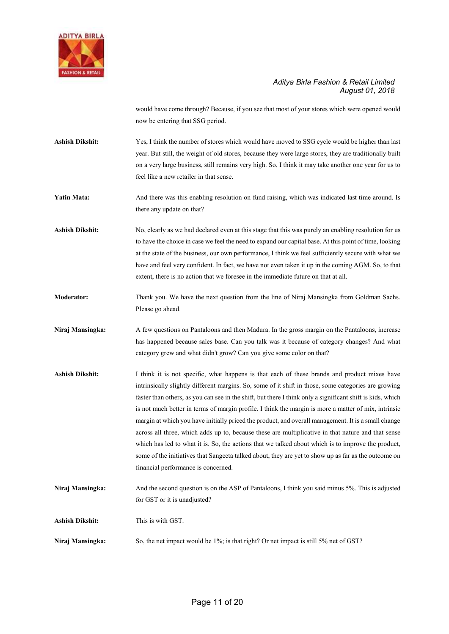

would have come through? Because, if you see that most of your stores which were opened would now be entering that SSG period.

Ashish Dikshit: Yes, I think the number of stores which would have moved to SSG cycle would be higher than last year. But still, the weight of old stores, because they were large stores, they are traditionally built on a very large business, still remains very high. So, I think it may take another one year for us to feel like a new retailer in that sense.

Yatin Mata: And there was this enabling resolution on fund raising, which was indicated last time around. Is there any update on that?

Ashish Dikshit: No, clearly as we had declared even at this stage that this was purely an enabling resolution for us to have the choice in case we feel the need to expand our capital base. At this point of time, looking at the state of the business, our own performance, I think we feel sufficiently secure with what we have and feel very confident. In fact, we have not even taken it up in the coming AGM. So, to that extent, there is no action that we foresee in the immediate future on that at all.

Moderator: Thank you. We have the next question from the line of Niraj Mansingka from Goldman Sachs. Please go ahead.

Niraj Mansingka: A few questions on Pantaloons and then Madura. In the gross margin on the Pantaloons, increase has happened because sales base. Can you talk was it because of category changes? And what category grew and what didn't grow? Can you give some color on that?

Ashish Dikshit: I think it is not specific, what happens is that each of these brands and product mixes have intrinsically slightly different margins. So, some of it shift in those, some categories are growing faster than others, as you can see in the shift, but there I think only a significant shift is kids, which is not much better in terms of margin profile. I think the margin is more a matter of mix, intrinsic margin at which you have initially priced the product, and overall management. It is a small change across all three, which adds up to, because these are multiplicative in that nature and that sense which has led to what it is. So, the actions that we talked about which is to improve the product, some of the initiatives that Sangeeta talked about, they are yet to show up as far as the outcome on financial performance is concerned.

Niraj Mansingka: And the second question is on the ASP of Pantaloons, I think you said minus 5%. This is adjusted for GST or it is unadjusted?

Ashish Dikshit: This is with GST.

Niraj Mansingka: So, the net impact would be 1%; is that right? Or net impact is still 5% net of GST?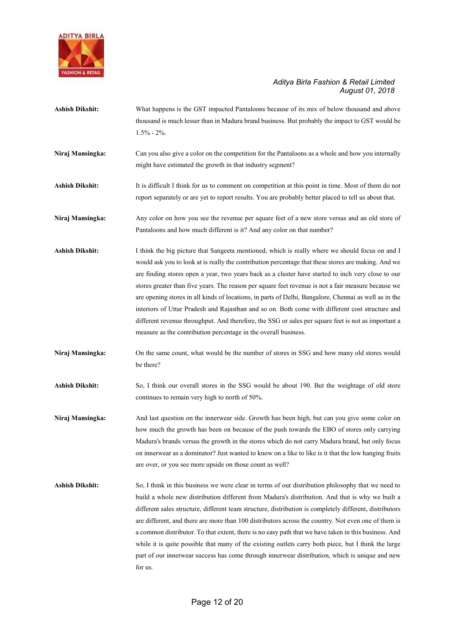

- Ashish Dikshit: What happens is the GST impacted Pantaloons because of its mix of below thousand and above thousand is much lesser than in Madura brand business. But probably the impact to GST would be 1.5% - 2%.
- Niraj Mansingka: Can you also give a color on the competition for the Pantaloons as a whole and how you internally might have estimated the growth in that industry segment?
- Ashish Dikshit: It is difficult I think for us to comment on competition at this point in time. Most of them do not report separately or are yet to report results. You are probably better placed to tell us about that.

Niraj Mansingka: Any color on how you see the revenue per square feet of a new store versus and an old store of Pantaloons and how much different is it? And any color on that number?

- Ashish Dikshit: I think the big picture that Sangeeta mentioned, which is really where we should focus on and I would ask you to look at is really the contribution percentage that these stores are making. And we are finding stores open a year, two years back as a cluster have started to inch very close to our stores greater than five years. The reason per square feet revenue is not a fair measure because we are opening stores in all kinds of locations, in parts of Delhi, Bangalore, Chennai as well as in the interiors of Uttar Pradesh and Rajasthan and so on. Both come with different cost structure and different revenue throughput. And therefore, the SSG or sales per square feet is not as important a measure as the contribution percentage in the overall business.
- Niraj Mansingka: On the same count, what would be the number of stores in SSG and how many old stores would be there?
- Ashish Dikshit: So, I think our overall stores in the SSG would be about 190. But the weightage of old store continues to remain very high to north of 50%.

Niraj Mansingka: And last question on the innerwear side. Growth has been high, but can you give some color on how much the growth has been on because of the push towards the EBO of stores only carrying Madura's brands versus the growth in the stores which do not carry Madura brand, but only focus on innerwear as a dominator? Just wanted to know on a like to like is it that the low hanging fruits are over, or you see more upside on those count as well?

Ashish Dikshit: So, I think in this business we were clear in terms of our distribution philosophy that we need to build a whole new distribution different from Madura's distribution. And that is why we built a different sales structure, different team structure, distribution is completely different, distributors are different, and there are more than 100 distributors across the country. Not even one of them is a common distributor. To that extent, there is no easy path that we have taken in this business. And while it is quite possible that many of the existing outlets carry both piece, but I think the large part of our innerwear success has come through innerwear distribution, which is unique and new for us.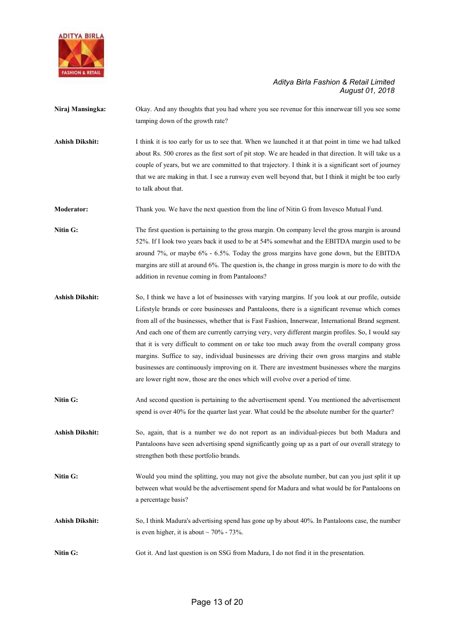

- Niraj Mansingka: Okay. And any thoughts that you had where you see revenue for this innerwear till you see some tamping down of the growth rate? Ashish Dikshit: I think it is too early for us to see that. When we launched it at that point in time we had talked about Rs. 500 crores as the first sort of pit stop. We are headed in that direction. It will take us a couple of years, but we are committed to that trajectory. I think it is a significant sort of journey that we are making in that. I see a runway even well beyond that, but I think it might be too early to talk about that. Moderator: Thank you. We have the next question from the line of Nitin G from Invesco Mutual Fund. Nitin G: The first question is pertaining to the gross margin. On company level the gross margin is around 52%. If I look two years back it used to be at 54% somewhat and the EBITDA margin used to be around 7%, or maybe 6% - 6.5%. Today the gross margins have gone down, but the EBITDA
- Ashish Dikshit: So, I think we have a lot of businesses with varying margins. If you look at our profile, outside Lifestyle brands or core businesses and Pantaloons, there is a significant revenue which comes from all of the businesses, whether that is Fast Fashion, Innerwear, International Brand segment. And each one of them are currently carrying very, very different margin profiles. So, I would say that it is very difficult to comment on or take too much away from the overall company gross margins. Suffice to say, individual businesses are driving their own gross margins and stable businesses are continuously improving on it. There are investment businesses where the margins are lower right now, those are the ones which will evolve over a period of time.

addition in revenue coming in from Pantaloons?

margins are still at around 6%. The question is, the change in gross margin is more to do with the

- Nitin G: And second question is pertaining to the advertisement spend. You mentioned the advertisement spend is over 40% for the quarter last year. What could be the absolute number for the quarter?
- Ashish Dikshit: So, again, that is a number we do not report as an individual-pieces but both Madura and Pantaloons have seen advertising spend significantly going up as a part of our overall strategy to strengthen both these portfolio brands.
- Nitin G: Would you mind the splitting, you may not give the absolute number, but can you just split it up between what would be the advertisement spend for Madura and what would be for Pantaloons on a percentage basis?
- Ashish Dikshit: So, I think Madura's advertising spend has gone up by about 40%. In Pantaloons case, the number is even higher, it is about  $\sim$  70% - 73%.
- Nitin G: Got it. And last question is on SSG from Madura, I do not find it in the presentation.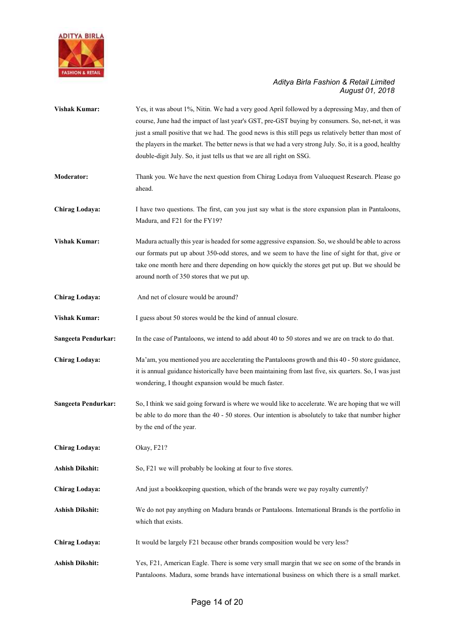

| <b>Vishak Kumar:</b>   | Yes, it was about 1%, Nitin. We had a very good April followed by a depressing May, and then of<br>course, June had the impact of last year's GST, pre-GST buying by consumers. So, net-net, it was<br>just a small positive that we had. The good news is this still pegs us relatively better than most of<br>the players in the market. The better news is that we had a very strong July. So, it is a good, healthy<br>double-digit July. So, it just tells us that we are all right on SSG. |
|------------------------|--------------------------------------------------------------------------------------------------------------------------------------------------------------------------------------------------------------------------------------------------------------------------------------------------------------------------------------------------------------------------------------------------------------------------------------------------------------------------------------------------|
| <b>Moderator:</b>      | Thank you. We have the next question from Chirag Lodaya from Valuequest Research. Please go<br>ahead.                                                                                                                                                                                                                                                                                                                                                                                            |
| Chirag Lodaya:         | I have two questions. The first, can you just say what is the store expansion plan in Pantaloons,<br>Madura, and F21 for the FY19?                                                                                                                                                                                                                                                                                                                                                               |
| <b>Vishak Kumar:</b>   | Madura actually this year is headed for some aggressive expansion. So, we should be able to across<br>our formats put up about 350-odd stores, and we seem to have the line of sight for that, give or<br>take one month here and there depending on how quickly the stores get put up. But we should be<br>around north of 350 stores that we put up.                                                                                                                                           |
| Chirag Lodaya:         | And net of closure would be around?                                                                                                                                                                                                                                                                                                                                                                                                                                                              |
| <b>Vishak Kumar:</b>   | I guess about 50 stores would be the kind of annual closure.                                                                                                                                                                                                                                                                                                                                                                                                                                     |
| Sangeeta Pendurkar:    | In the case of Pantaloons, we intend to add about 40 to 50 stores and we are on track to do that.                                                                                                                                                                                                                                                                                                                                                                                                |
| Chirag Lodaya:         | Ma'am, you mentioned you are accelerating the Pantaloons growth and this 40 - 50 store guidance,<br>it is annual guidance historically have been maintaining from last five, six quarters. So, I was just<br>wondering, I thought expansion would be much faster.                                                                                                                                                                                                                                |
| Sangeeta Pendurkar:    | So, I think we said going forward is where we would like to accelerate. We are hoping that we will<br>be able to do more than the $40 - 50$ stores. Our intention is absolutely to take that number higher<br>by the end of the year.                                                                                                                                                                                                                                                            |
| <b>Chirag Lodaya:</b>  | Okay, F21?                                                                                                                                                                                                                                                                                                                                                                                                                                                                                       |
| <b>Ashish Dikshit:</b> | So, F21 we will probably be looking at four to five stores.                                                                                                                                                                                                                                                                                                                                                                                                                                      |
| Chirag Lodaya:         | And just a bookkeeping question, which of the brands were we pay royalty currently?                                                                                                                                                                                                                                                                                                                                                                                                              |
| Ashish Dikshit:        | We do not pay anything on Madura brands or Pantaloons. International Brands is the portfolio in<br>which that exists.                                                                                                                                                                                                                                                                                                                                                                            |
| <b>Chirag Lodaya:</b>  | It would be largely F21 because other brands composition would be very less?                                                                                                                                                                                                                                                                                                                                                                                                                     |
| <b>Ashish Dikshit:</b> | Yes, F21, American Eagle. There is some very small margin that we see on some of the brands in<br>Pantaloons. Madura, some brands have international business on which there is a small market.                                                                                                                                                                                                                                                                                                  |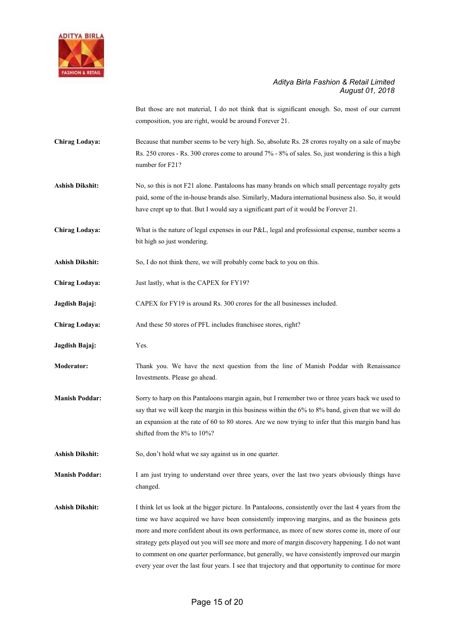

But those are not material, I do not think that is significant enough. So, most of our current composition, you are right, would be around Forever 21.

- Chirag Lodaya: Because that number seems to be very high. So, absolute Rs. 28 crores royalty on a sale of maybe Rs. 250 crores - Rs. 300 crores come to around 7% - 8% of sales. So, just wondering is this a high number for F21?
- Ashish Dikshit: No, so this is not F21 alone. Pantaloons has many brands on which small percentage royalty gets paid, some of the in-house brands also. Similarly, Madura international business also. So, it would have crept up to that. But I would say a significant part of it would be Forever 21.
- Chirag Lodaya: What is the nature of legal expenses in our P&L, legal and professional expense, number seems a bit high so just wondering.
- Ashish Dikshit: So, I do not think there, we will probably come back to you on this.
- Chirag Lodaya: Just lastly, what is the CAPEX for FY19?
- Jagdish Bajaj: CAPEX for FY19 is around Rs. 300 crores for the all businesses included.
- Chirag Lodaya: And these 50 stores of PFL includes franchisee stores, right?
- Jagdish Bajaj: Yes.
- Moderator: Thank you. We have the next question from the line of Manish Poddar with Renaissance Investments. Please go ahead.
- Manish Poddar: Sorry to harp on this Pantaloons margin again, but I remember two or three years back we used to say that we will keep the margin in this business within the 6% to 8% band, given that we will do an expansion at the rate of 60 to 80 stores. Are we now trying to infer that this margin band has shifted from the 8% to 10%?
- Ashish Dikshit: So, don't hold what we say against us in one quarter.

Manish Poddar: I am just trying to understand over three years, over the last two years obviously things have changed.

Ashish Dikshit: I think let us look at the bigger picture. In Pantaloons, consistently over the last 4 years from the time we have acquired we have been consistently improving margins, and as the business gets more and more confident about its own performance, as more of new stores come in, more of our strategy gets played out you will see more and more of margin discovery happening. I do not want to comment on one quarter performance, but generally, we have consistently improved our margin every year over the last four years. I see that trajectory and that opportunity to continue for more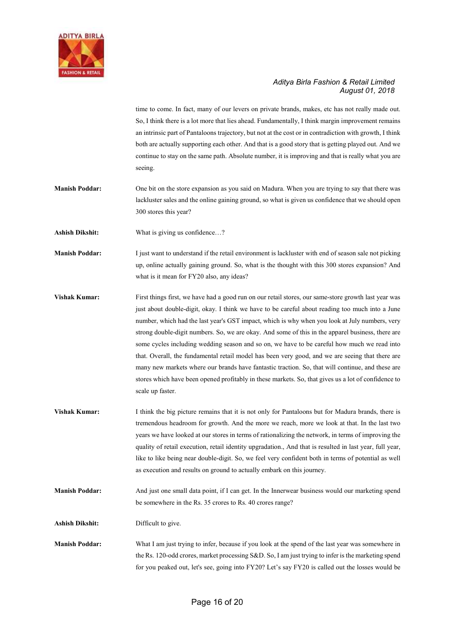

time to come. In fact, many of our levers on private brands, makes, etc has not really made out. So, I think there is a lot more that lies ahead. Fundamentally, I think margin improvement remains an intrinsic part of Pantaloons trajectory, but not at the cost or in contradiction with growth, I think both are actually supporting each other. And that is a good story that is getting played out. And we continue to stay on the same path. Absolute number, it is improving and that is really what you are seeing.

Manish Poddar: One bit on the store expansion as you said on Madura. When you are trying to say that there was lackluster sales and the online gaining ground, so what is given us confidence that we should open 300 stores this year?

Ashish Dikshit: What is giving us confidence...?

Manish Poddar: I just want to understand if the retail environment is lackluster with end of season sale not picking up, online actually gaining ground. So, what is the thought with this 300 stores expansion? And what is it mean for FY20 also, any ideas?

- Vishak Kumar: First things first, we have had a good run on our retail stores, our same-store growth last year was just about double-digit, okay. I think we have to be careful about reading too much into a June number, which had the last year's GST impact, which is why when you look at July numbers, very strong double-digit numbers. So, we are okay. And some of this in the apparel business, there are some cycles including wedding season and so on, we have to be careful how much we read into that. Overall, the fundamental retail model has been very good, and we are seeing that there are many new markets where our brands have fantastic traction. So, that will continue, and these are stores which have been opened profitably in these markets. So, that gives us a lot of confidence to scale up faster.
- Vishak Kumar: I think the big picture remains that it is not only for Pantaloons but for Madura brands, there is tremendous headroom for growth. And the more we reach, more we look at that. In the last two years we have looked at our stores in terms of rationalizing the network, in terms of improving the quality of retail execution, retail identity upgradation., And that is resulted in last year, full year, like to like being near double-digit. So, we feel very confident both in terms of potential as well as execution and results on ground to actually embark on this journey.
- Manish Poddar: And just one small data point, if I can get. In the Innerwear business would our marketing spend be somewhere in the Rs. 35 crores to Rs. 40 crores range?

Ashish Dikshit: Difficult to give.

Manish Poddar: What I am just trying to infer, because if you look at the spend of the last year was somewhere in the Rs. 120-odd crores, market processing S&D. So, I am just trying to infer is the marketing spend for you peaked out, let's see, going into FY20? Let's say FY20 is called out the losses would be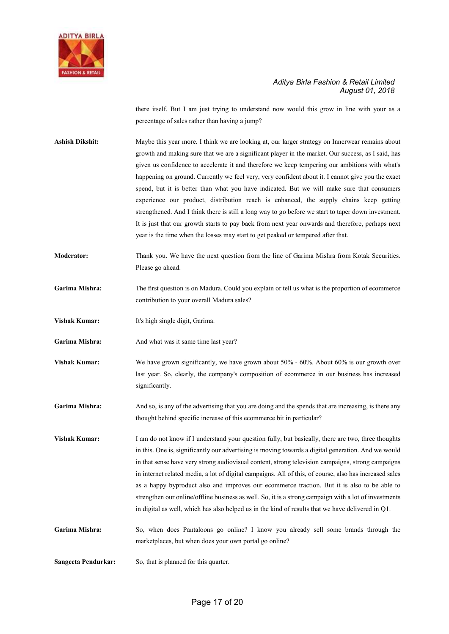

there itself. But I am just trying to understand now would this grow in line with your as a percentage of sales rather than having a jump?

Ashish Dikshit: Maybe this year more. I think we are looking at, our larger strategy on Innerwear remains about growth and making sure that we are a significant player in the market. Our success, as I said, has given us confidence to accelerate it and therefore we keep tempering our ambitions with what's happening on ground. Currently we feel very, very confident about it. I cannot give you the exact spend, but it is better than what you have indicated. But we will make sure that consumers experience our product, distribution reach is enhanced, the supply chains keep getting strengthened. And I think there is still a long way to go before we start to taper down investment. It is just that our growth starts to pay back from next year onwards and therefore, perhaps next year is the time when the losses may start to get peaked or tempered after that.

Moderator: Thank you. We have the next question from the line of Garima Mishra from Kotak Securities. Please go ahead.

- Garima Mishra: The first question is on Madura. Could you explain or tell us what is the proportion of ecommerce contribution to your overall Madura sales?
- Vishak Kumar: It's high single digit, Garima.

Garima Mishra: And what was it same time last year?

Vishak Kumar: We have grown significantly, we have grown about 50% - 60%. About 60% is our growth over last year. So, clearly, the company's composition of ecommerce in our business has increased significantly.

Garima Mishra: And so, is any of the advertising that you are doing and the spends that are increasing, is there any thought behind specific increase of this ecommerce bit in particular?

Vishak Kumar: I am do not know if I understand your question fully, but basically, there are two, three thoughts in this. One is, significantly our advertising is moving towards a digital generation. And we would in that sense have very strong audiovisual content, strong television campaigns, strong campaigns in internet related media, a lot of digital campaigns. All of this, of course, also has increased sales as a happy byproduct also and improves our ecommerce traction. But it is also to be able to strengthen our online/offline business as well. So, it is a strong campaign with a lot of investments in digital as well, which has also helped us in the kind of results that we have delivered in Q1.

Garima Mishra: So, when does Pantaloons go online? I know you already sell some brands through the marketplaces, but when does your own portal go online?

Sangeeta Pendurkar: So, that is planned for this quarter.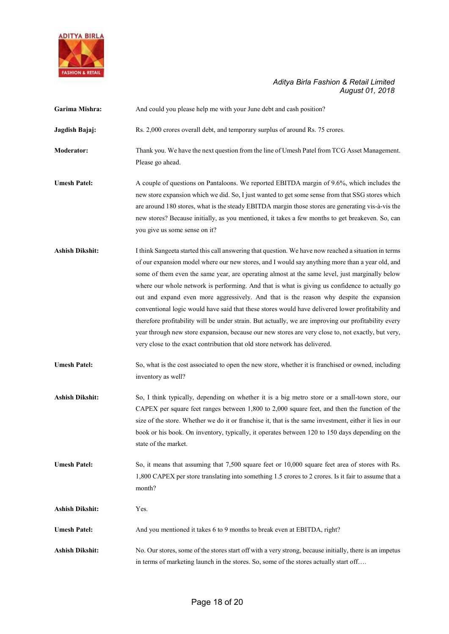

| Garima Mishra:         | And could you please help me with your June debt and cash position?                                                                                                                                                                                                                                                                                                                                                                                                                                                                                                                                                                                                                                                                                                                                                                                                                                     |
|------------------------|---------------------------------------------------------------------------------------------------------------------------------------------------------------------------------------------------------------------------------------------------------------------------------------------------------------------------------------------------------------------------------------------------------------------------------------------------------------------------------------------------------------------------------------------------------------------------------------------------------------------------------------------------------------------------------------------------------------------------------------------------------------------------------------------------------------------------------------------------------------------------------------------------------|
| Jagdish Bajaj:         | Rs. 2,000 crores overall debt, and temporary surplus of around Rs. 75 crores.                                                                                                                                                                                                                                                                                                                                                                                                                                                                                                                                                                                                                                                                                                                                                                                                                           |
| <b>Moderator:</b>      | Thank you. We have the next question from the line of Umesh Patel from TCG Asset Management.<br>Please go ahead.                                                                                                                                                                                                                                                                                                                                                                                                                                                                                                                                                                                                                                                                                                                                                                                        |
| <b>Umesh Patel:</b>    | A couple of questions on Pantaloons. We reported EBITDA margin of 9.6%, which includes the<br>new store expansion which we did. So, I just wanted to get some sense from that SSG stores which<br>are around 180 stores, what is the steady EBITDA margin those stores are generating vis-à-vis the<br>new stores? Because initially, as you mentioned, it takes a few months to get breakeven. So, can<br>you give us some sense on it?                                                                                                                                                                                                                                                                                                                                                                                                                                                                |
| <b>Ashish Dikshit:</b> | I think Sangeeta started this call answering that question. We have now reached a situation in terms<br>of our expansion model where our new stores, and I would say anything more than a year old, and<br>some of them even the same year, are operating almost at the same level, just marginally below<br>where our whole network is performing. And that is what is giving us confidence to actually go<br>out and expand even more aggressively. And that is the reason why despite the expansion<br>conventional logic would have said that these stores would have delivered lower profitability and<br>therefore profitability will be under strain. But actually, we are improving our profitability every<br>year through new store expansion, because our new stores are very close to, not exactly, but very,<br>very close to the exact contribution that old store network has delivered. |
| <b>Umesh Patel:</b>    | So, what is the cost associated to open the new store, whether it is franchised or owned, including<br>inventory as well?                                                                                                                                                                                                                                                                                                                                                                                                                                                                                                                                                                                                                                                                                                                                                                               |
| <b>Ashish Dikshit:</b> | So, I think typically, depending on whether it is a big metro store or a small-town store, our<br>CAPEX per square feet ranges between $1,800$ to $2,000$ square feet, and then the function of the<br>size of the store. Whether we do it or franchise it, that is the same investment, either it lies in our<br>book or his book. On inventory, typically, it operates between 120 to 150 days depending on the<br>state of the market.                                                                                                                                                                                                                                                                                                                                                                                                                                                               |
| <b>Umesh Patel:</b>    | So, it means that assuming that 7,500 square feet or 10,000 square feet area of stores with Rs.<br>1,800 CAPEX per store translating into something 1.5 crores to 2 crores. Is it fair to assume that a<br>month?                                                                                                                                                                                                                                                                                                                                                                                                                                                                                                                                                                                                                                                                                       |
| <b>Ashish Dikshit:</b> | Yes.                                                                                                                                                                                                                                                                                                                                                                                                                                                                                                                                                                                                                                                                                                                                                                                                                                                                                                    |
| <b>Umesh Patel:</b>    | And you mentioned it takes 6 to 9 months to break even at EBITDA, right?                                                                                                                                                                                                                                                                                                                                                                                                                                                                                                                                                                                                                                                                                                                                                                                                                                |
| <b>Ashish Dikshit:</b> | No. Our stores, some of the stores start off with a very strong, because initially, there is an impetus<br>in terms of marketing launch in the stores. So, some of the stores actually start off                                                                                                                                                                                                                                                                                                                                                                                                                                                                                                                                                                                                                                                                                                        |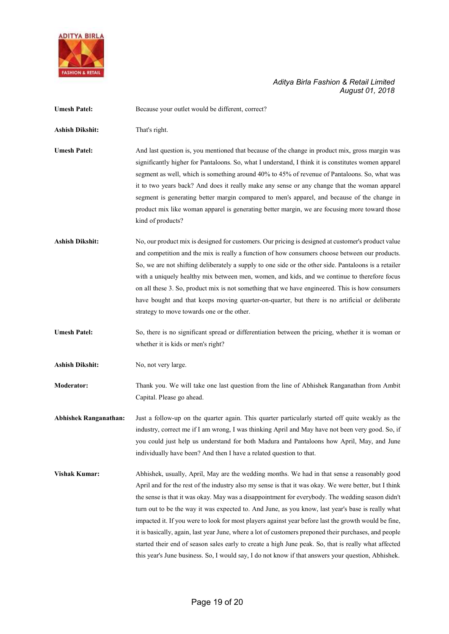

| <b>Umesh Patel:</b>          | Because your outlet would be different, correct?                                                                                                                                                                                                                                                                                                                                                                                                                                                                                                                                                                                                                                                                                                                                                                                              |
|------------------------------|-----------------------------------------------------------------------------------------------------------------------------------------------------------------------------------------------------------------------------------------------------------------------------------------------------------------------------------------------------------------------------------------------------------------------------------------------------------------------------------------------------------------------------------------------------------------------------------------------------------------------------------------------------------------------------------------------------------------------------------------------------------------------------------------------------------------------------------------------|
| <b>Ashish Dikshit:</b>       | That's right.                                                                                                                                                                                                                                                                                                                                                                                                                                                                                                                                                                                                                                                                                                                                                                                                                                 |
| <b>Umesh Patel:</b>          | And last question is, you mentioned that because of the change in product mix, gross margin was<br>significantly higher for Pantaloons. So, what I understand, I think it is constitutes women apparel<br>segment as well, which is something around 40% to 45% of revenue of Pantaloons. So, what was<br>it to two years back? And does it really make any sense or any change that the woman apparel<br>segment is generating better margin compared to men's apparel, and because of the change in<br>product mix like woman apparel is generating better margin, we are focusing more toward those<br>kind of products?                                                                                                                                                                                                                   |
| <b>Ashish Dikshit:</b>       | No, our product mix is designed for customers. Our pricing is designed at customer's product value<br>and competition and the mix is really a function of how consumers choose between our products.<br>So, we are not shifting deliberately a supply to one side or the other side. Pantaloons is a retailer<br>with a uniquely healthy mix between men, women, and kids, and we continue to therefore focus<br>on all these 3. So, product mix is not something that we have engineered. This is how consumers<br>have bought and that keeps moving quarter-on-quarter, but there is no artificial or deliberate<br>strategy to move towards one or the other.                                                                                                                                                                              |
| <b>Umesh Patel:</b>          | So, there is no significant spread or differentiation between the pricing, whether it is woman or<br>whether it is kids or men's right?                                                                                                                                                                                                                                                                                                                                                                                                                                                                                                                                                                                                                                                                                                       |
| <b>Ashish Dikshit:</b>       | No, not very large.                                                                                                                                                                                                                                                                                                                                                                                                                                                                                                                                                                                                                                                                                                                                                                                                                           |
| <b>Moderator:</b>            | Thank you. We will take one last question from the line of Abhishek Ranganathan from Ambit<br>Capital. Please go ahead.                                                                                                                                                                                                                                                                                                                                                                                                                                                                                                                                                                                                                                                                                                                       |
| <b>Abhishek Ranganathan:</b> | Just a follow-up on the quarter again. This quarter particularly started off quite weakly as the<br>industry, correct me if I am wrong, I was thinking April and May have not been very good. So, if<br>you could just help us understand for both Madura and Pantaloons how April, May, and June<br>individually have been? And then I have a related question to that.                                                                                                                                                                                                                                                                                                                                                                                                                                                                      |
| <b>Vishak Kumar:</b>         | Abhishek, usually, April, May are the wedding months. We had in that sense a reasonably good<br>April and for the rest of the industry also my sense is that it was okay. We were better, but I think<br>the sense is that it was okay. May was a disappointment for everybody. The wedding season didn't<br>turn out to be the way it was expected to. And June, as you know, last year's base is really what<br>impacted it. If you were to look for most players against year before last the growth would be fine,<br>it is basically, again, last year June, where a lot of customers preponed their purchases, and people<br>started their end of season sales early to create a high June peak. So, that is really what affected<br>this year's June business. So, I would say, I do not know if that answers your question, Abhishek. |